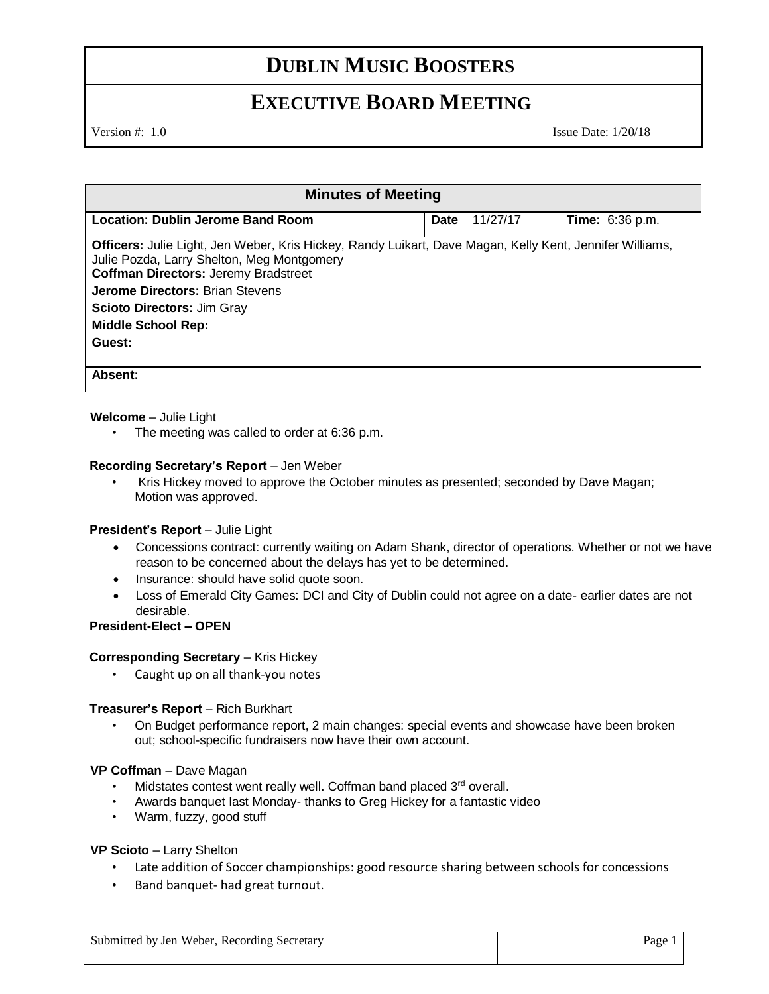# **DUBLIN MUSIC BOOSTERS**

# **EXECUTIVE BOARD MEETING**

Version #: 1.0 Issue Date: 1/20/18

| <b>Minutes of Meeting</b>                                                                                                                                                                                                                                                                                         |                  |                        |
|-------------------------------------------------------------------------------------------------------------------------------------------------------------------------------------------------------------------------------------------------------------------------------------------------------------------|------------------|------------------------|
| Location: Dublin Jerome Band Room                                                                                                                                                                                                                                                                                 | Date<br>11/27/17 | <b>Time:</b> 6:36 p.m. |
| Officers: Julie Light, Jen Weber, Kris Hickey, Randy Luikart, Dave Magan, Kelly Kent, Jennifer Williams,<br>Julie Pozda, Larry Shelton, Meg Montgomery<br><b>Coffman Directors: Jeremy Bradstreet</b><br><b>Jerome Directors: Brian Stevens</b><br><b>Scioto Directors: Jim Gray</b><br><b>Middle School Rep:</b> |                  |                        |
| Guest:                                                                                                                                                                                                                                                                                                            |                  |                        |
| Absent:                                                                                                                                                                                                                                                                                                           |                  |                        |

# **Welcome** – Julie Light

• The meeting was called to order at 6:36 p.m.

## **Recording Secretary's Report** – Jen Weber

• Kris Hickey moved to approve the October minutes as presented; seconded by Dave Magan; Motion was approved.

### **President's Report** – Julie Light

- Concessions contract: currently waiting on Adam Shank, director of operations. Whether or not we have reason to be concerned about the delays has yet to be determined.
- Insurance: should have solid quote soon.
- Loss of Emerald City Games: DCI and City of Dublin could not agree on a date- earlier dates are not desirable.

## **President-Elect – OPEN**

## **Corresponding Secretary – Kris Hickey**

• Caught up on all thank-you notes

### **Treasurer's Report** – Rich Burkhart

• On Budget performance report, 2 main changes: special events and showcase have been broken out; school-specific fundraisers now have their own account.

### **VP Coffman** – Dave Magan

- Midstates contest went really well. Coffman band placed 3<sup>rd</sup> overall.
- Awards banquet last Monday- thanks to Greg Hickey for a fantastic video
- Warm, fuzzy, good stuff

### **VP Scioto** – Larry Shelton

- Late addition of Soccer championships: good resource sharing between schools for concessions
- Band banquet- had great turnout.

| Submitted by Jen Weber, Recording Secretary | Page 1 |
|---------------------------------------------|--------|
|---------------------------------------------|--------|